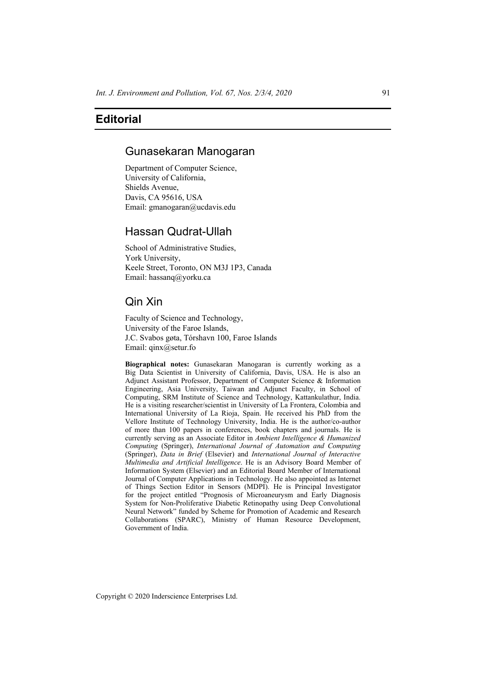# **Editorial**

### Gunasekaran Manogaran

Department of Computer Science, University of California, Shields Avenue, Davis, CA 95616, USA Email: gmanogaran@ucdavis.edu

### Hassan Qudrat-Ullah

School of Administrative Studies, York University, Keele Street, Toronto, ON M3J 1P3, Canada Email: hassanq@yorku.ca

## Qin Xin

Faculty of Science and Technology, University of the Faroe Islands, J.C. Svabos gøta, Tórshavn 100, Faroe Islands Email: qinx@setur.fo

**Biographical notes:** Gunasekaran Manogaran is currently working as a Big Data Scientist in University of California, Davis, USA. He is also an Adjunct Assistant Professor, Department of Computer Science & Information Engineering, Asia University, Taiwan and Adjunct Faculty, in School of Computing, SRM Institute of Science and Technology, Kattankulathur, India. He is a visiting researcher/scientist in University of La Frontera, Colombia and International University of La Rioja, Spain. He received his PhD from the Vellore Institute of Technology University, India. He is the author/co-author of more than 100 papers in conferences, book chapters and journals. He is currently serving as an Associate Editor in *Ambient Intelligence & Humanized Computing* (Springer), *International Journal of Automation and Computing*  (Springer), *Data in Brief* (Elsevier) and *International Journal of Interactive Multimedia and Artificial Intelligence*. He is an Advisory Board Member of Information System (Elsevier) and an Editorial Board Member of International Journal of Computer Applications in Technology. He also appointed as Internet of Things Section Editor in Sensors (MDPI). He is Principal Investigator for the project entitled "Prognosis of Microaneurysm and Early Diagnosis System for Non-Proliferative Diabetic Retinopathy using Deep Convolutional Neural Network" funded by Scheme for Promotion of Academic and Research Collaborations (SPARC), Ministry of Human Resource Development, Government of India.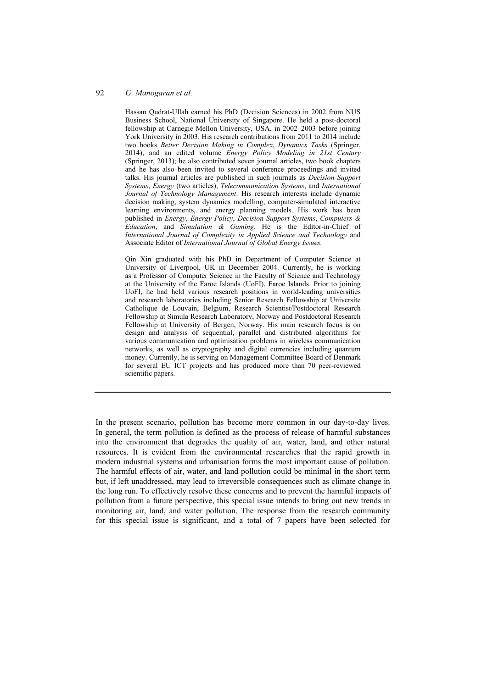#### 92 *G. Manogaran et al.*

Hassan Qudrat-Ullah earned his PhD (Decision Sciences) in 2002 from NUS Business School, National University of Singapore. He held a post-doctoral fellowship at Carnegie Mellon University, USA, in 2002–2003 before joining York University in 2003. His research contributions from 2011 to 2014 include two books *Better Decision Making in Complex*, *Dynamics Tasks* (Springer, 2014), and an edited volume *Energy Policy Modeling in 21st Century*  (Springer, 2013); he also contributed seven journal articles, two book chapters and he has also been invited to several conference proceedings and invited talks. His journal articles are published in such journals as *Decision Support Systems*, *Energy* (two articles), *Telecommunication Systems*, and *International Journal of Technology Management*. His research interests include dynamic decision making, system dynamics modelling, computer-simulated interactive learning environments, and energy planning models. His work has been published in *Energy*, *Energy Policy*, *Decision Support Systems*, *Computers & Education*, and *Simulation & Gaming*. He is the Editor-in-Chief of *International Journal of Complexity in Applied Science and Technology* and Associate Editor of *International Journal of Global Energy Issues*.

Qin Xin graduated with his PhD in Department of Computer Science at University of Liverpool, UK in December 2004. Currently, he is working as a Professor of Computer Science in the Faculty of Science and Technology at the University of the Faroe Islands (UoFI), Faroe Islands. Prior to joining UoFI, he had held various research positions in world-leading universities and research laboratories including Senior Research Fellowship at Universite Catholique de Louvain, Belgium, Research Scientist/Postdoctoral Research Fellowship at Simula Research Laboratory, Norway and Postdoctoral Research Fellowship at University of Bergen, Norway. His main research focus is on design and analysis of sequential, parallel and distributed algorithms for various communication and optimisation problems in wireless communication networks, as well as cryptography and digital currencies including quantum money. Currently, he is serving on Management Committee Board of Denmark for several EU ICT projects and has produced more than 70 peer-reviewed scientific papers.

In the present scenario, pollution has become more common in our day-to-day lives. In general, the term pollution is defined as the process of release of harmful substances into the environment that degrades the quality of air, water, land, and other natural resources. It is evident from the environmental researches that the rapid growth in modern industrial systems and urbanisation forms the most important cause of pollution. The harmful effects of air, water, and land pollution could be minimal in the short term but, if left unaddressed, may lead to irreversible consequences such as climate change in the long run. To effectively resolve these concerns and to prevent the harmful impacts of pollution from a future perspective, this special issue intends to bring out new trends in monitoring air, land, and water pollution. The response from the research community for this special issue is significant, and a total of 7 papers have been selected for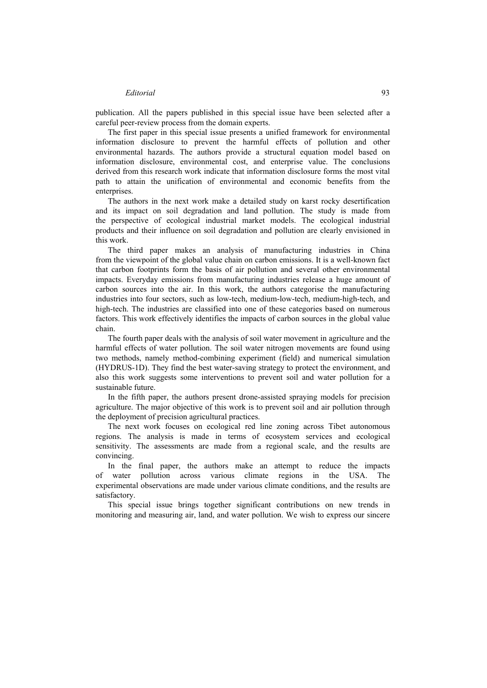#### *Editorial* 93

publication. All the papers published in this special issue have been selected after a careful peer-review process from the domain experts.

The first paper in this special issue presents a unified framework for environmental information disclosure to prevent the harmful effects of pollution and other environmental hazards. The authors provide a structural equation model based on information disclosure, environmental cost, and enterprise value. The conclusions derived from this research work indicate that information disclosure forms the most vital path to attain the unification of environmental and economic benefits from the enterprises

The authors in the next work make a detailed study on karst rocky desertification and its impact on soil degradation and land pollution. The study is made from the perspective of ecological industrial market models. The ecological industrial products and their influence on soil degradation and pollution are clearly envisioned in this work.

The third paper makes an analysis of manufacturing industries in China from the viewpoint of the global value chain on carbon emissions. It is a well-known fact that carbon footprints form the basis of air pollution and several other environmental impacts. Everyday emissions from manufacturing industries release a huge amount of carbon sources into the air. In this work, the authors categorise the manufacturing industries into four sectors, such as low-tech, medium-low-tech, medium-high-tech, and high-tech. The industries are classified into one of these categories based on numerous factors. This work effectively identifies the impacts of carbon sources in the global value chain.

The fourth paper deals with the analysis of soil water movement in agriculture and the harmful effects of water pollution. The soil water nitrogen movements are found using two methods, namely method-combining experiment (field) and numerical simulation (HYDRUS-1D). They find the best water-saving strategy to protect the environment, and also this work suggests some interventions to prevent soil and water pollution for a sustainable future.

In the fifth paper, the authors present drone-assisted spraying models for precision agriculture. The major objective of this work is to prevent soil and air pollution through the deployment of precision agricultural practices.

The next work focuses on ecological red line zoning across Tibet autonomous regions. The analysis is made in terms of ecosystem services and ecological sensitivity. The assessments are made from a regional scale, and the results are convincing.

In the final paper, the authors make an attempt to reduce the impacts of water pollution across various climate regions in the USA. The experimental observations are made under various climate conditions, and the results are satisfactory.

This special issue brings together significant contributions on new trends in monitoring and measuring air, land, and water pollution. We wish to express our sincere